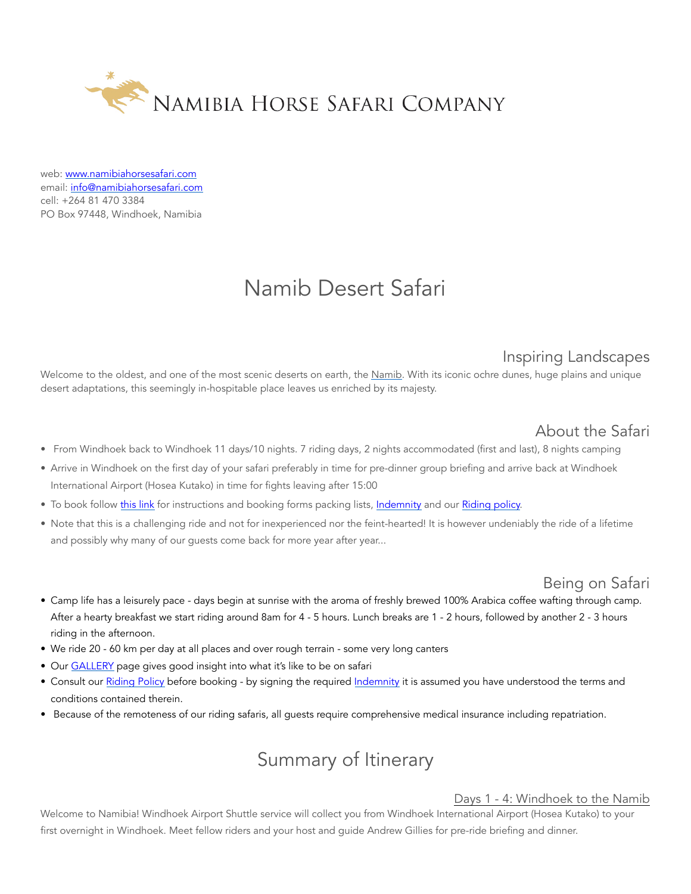

web: [www.namibiahorsesafari.com](http://www.namibiahorsesafari.com/) email: [info@namibiahorsesafari.com](mailto:info@namibiahorsesafari.com) cell: +264 81 470 3384 PO Box 97448, Windhoek, Namibia

# Namib Desert Safari

## Inspiring Landscapes

Welcome to the oldest, and one of the most scenic deserts on earth, the [Namib](http://www.namibiahorsesafari.com/about-namibia-1). With its iconic ochre dunes, huge plains and unique desert adaptations, this seemingly in-hospitable place leaves us enriched by its majesty.

- About the Safari<br>From Windhoek back to Windhoek 11 days/10 nights. 7 riding days, 2 nights accommodated (first and last), 8 nights camping
- Arrive in Windhoek on the first day of your safari preferably in time for pre-dinner group briefing and arrive back at Windhoek International Airport (Hosea Kutako) in time for fights leaving after 15:00
- To book follow [this link](http://www.namibiahorsesafari.com/booking-getting-here) for instructions and booking forms packing lists, [Indemnity](http://www.namibiahorsesafari.com/terms-and-conditions) and our [Riding policy.](http://www.namibiahorsesafari.com/riding-policy)
- Note that this is a challenging ride and not for inexperienced nor the feint-hearted! It is however undeniably the ride of a lifetime and possibly why many of our guests come back for more year after year...

- Being on Safari<br>• Camp life has a leisurely pace days begin at sunrise with the aroma of freshly brewed 100% Arabica coffee wafting through camp. After a hearty breakfast we start riding around 8am for 4 - 5 hours. Lunch breaks are 1 - 2 hours, followed by another 2 - 3 hours riding in the afternoon.
- We ride 20 60 km per day at all places and over rough terrain some very long canters
- Our [GALLERY](http://www.namibiahorsesafari.com/gallery) page gives good insight into what it's like to be on safari
- Consult our [Riding Policy](http://www.namibiahorsesafari.com/riding-policy) before booking by signing the required [Indemnity](http://www.namibiahorsesafari.com/terms-and-conditions) it is assumed you have understood the terms and conditions contained therein.
- Because of the remoteness of our riding safaris, all guests require comprehensive medical insurance including repatriation.

# Summary of Itinerary

#### Days 1 - 4: Windhoek to the Namib

Welcome to Namibia! Windhoek Airport Shuttle service will collect you from Windhoek International Airport (Hosea Kutako) to your first overnight in Windhoek. Meet fellow riders and your host and guide Andrew Gillies for pre-ride briefing and dinner.